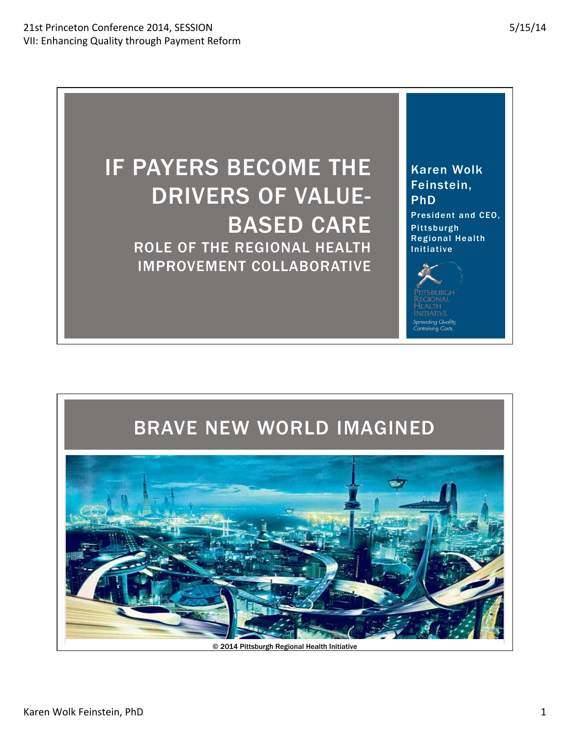Karen Wolk Feinstein,

President and CEO,

PhD

**Pittsburgh** Regional Health

Initiative





© 2014 Pittsburgh Regional Health Initiative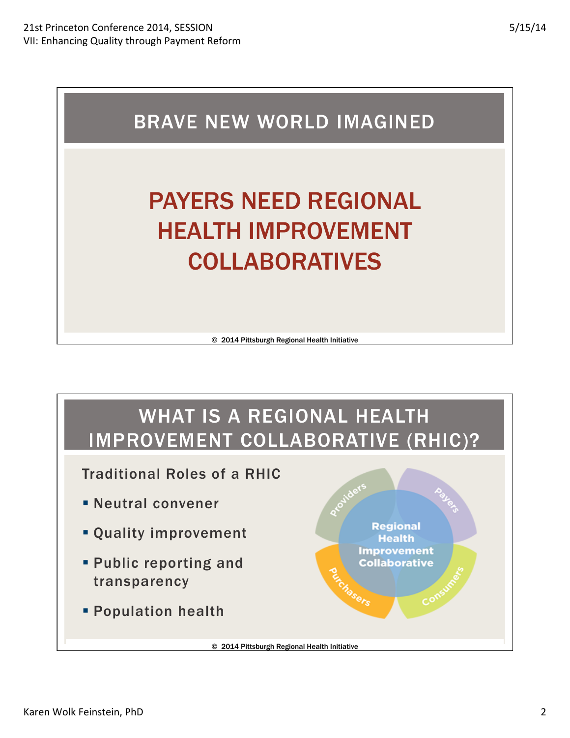

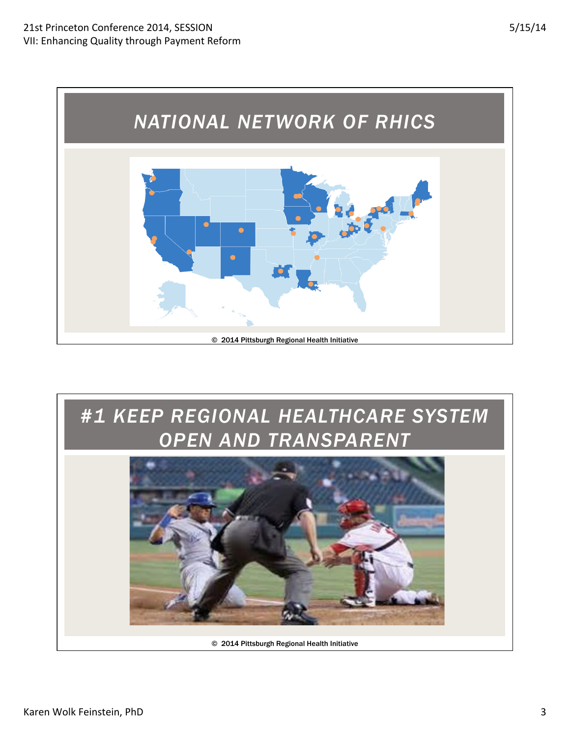

## *#1 KEEP REGIONAL HEALTHCARE SYSTEM OPEN AND TRANSPARENT*

© 2014 Pittsburgh Regional Health Initiative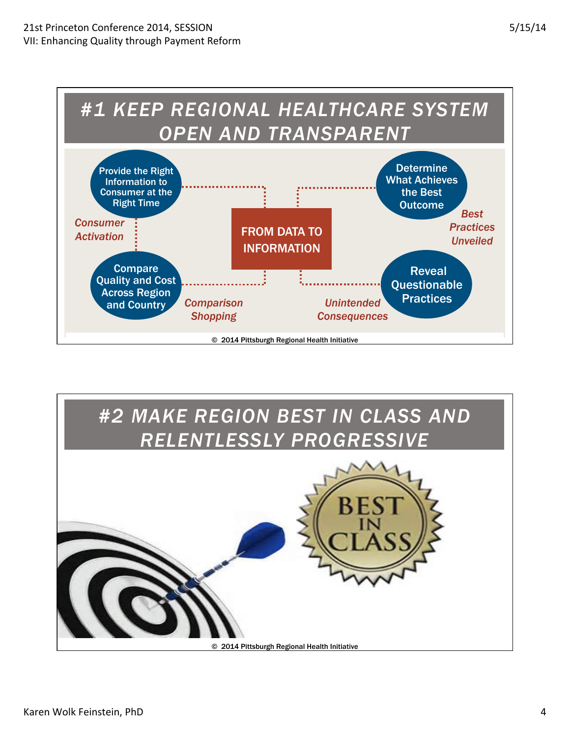

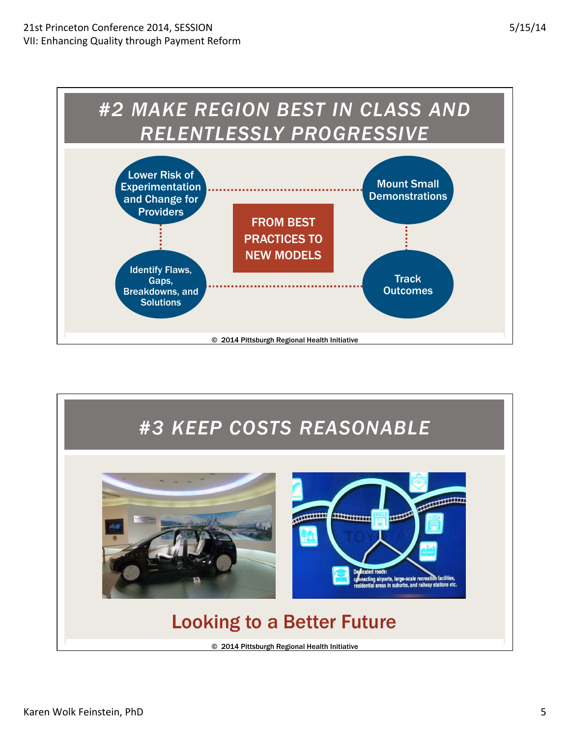

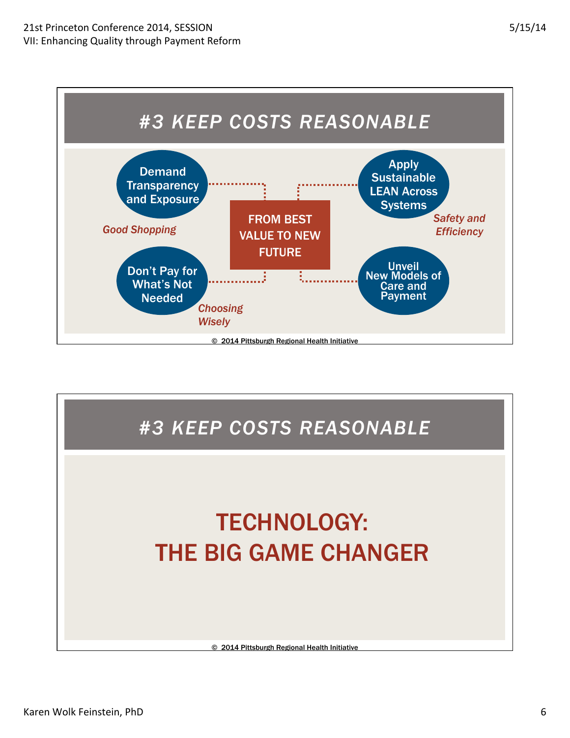

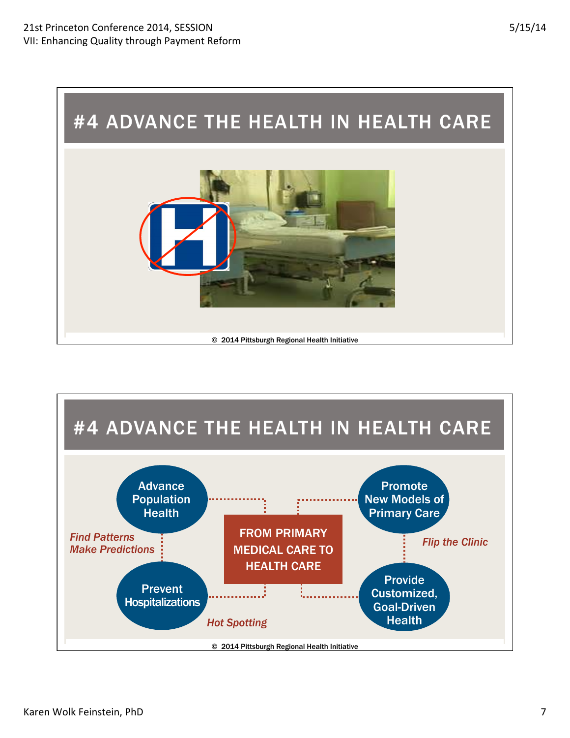

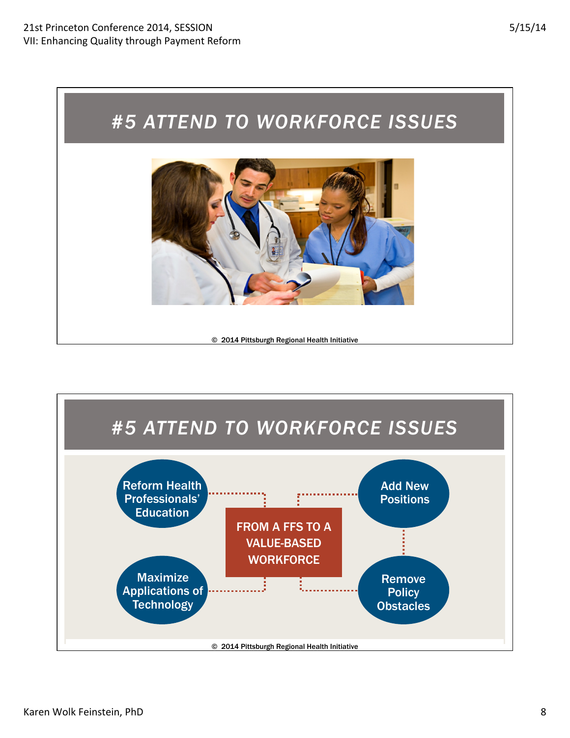